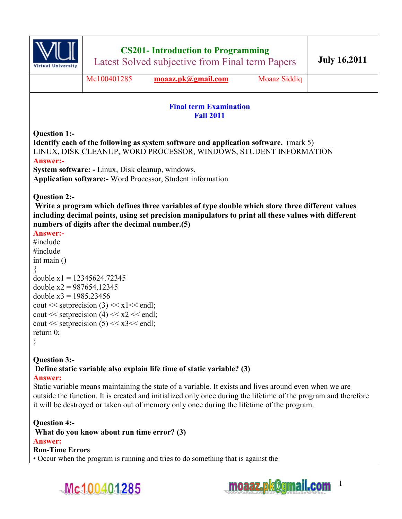

# **CS201- Introduction to Programming**

Latest Solved subjective from Final term Papers **July 16,2011** 

Mc100401285 **[moaaz.pk@gmail.com](mailto:moaaz.pk@gmail.com)** Moaaz Siddiq

### **Final term Examination Fall 2011**

**Question 1:- Identify each of the following as system software and application software.** (mark 5) LINUX, DISK CLEANUP, WORD PROCESSOR, WINDOWS, STUDENT INFORMATION **Answer:- System software: -** Linux, Disk cleanup, windows.

**Application software:-** Word Processor, Student information

### **Question 2:-**

 **Write a program which defines three variables of type double which store three different values including decimal points, using set precision manipulators to print all these values with different numbers of digits after the decimal number.(5)** 

### **Answer:-**

```
#include 
#include 
int main () 
{ 
double x1 = 12345624.72345double x2 = 987654.12345double x3 = 1985.23456cout << setprecision (3) << x1<< endl;
cout << setprecision (4) << x2 << endl;
cout << setprecision (5) << x3 << endl;
return 0; 
}
```
#### **Question 3:- Define static variable also explain life time of static variable? (3) Answer:**

Static variable means maintaining the state of a variable. It exists and lives around even when we are outside the function. It is created and initialized only once during the lifetime of the program and therefore it will be destroyed or taken out of memory only once during the lifetime of the program.

**Question 4:- What do you know about run time error? (3) Answer: Run-Time Errors**  • Occur when the program is running and tries to do something that is against the



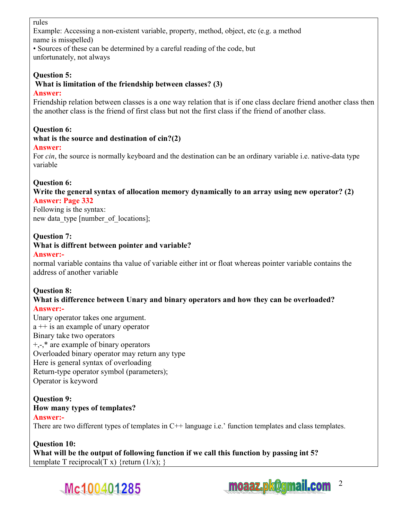### rules

Example: Accessing a non-existent variable, property, method, object, etc (e.g. a method name is misspelled)

• Sources of these can be determined by a careful reading of the code, but unfortunately, not always

## **Question 5:**

## **What is limitation of the friendship between classes? (3)**

### **Answer:**

Friendship relation between classes is a one way relation that is if one class declare friend another class then the another class is the friend of first class but not the first class if the friend of another class.

## **Question 6:**

#### **what is the source and destination of cin?(2) Answer:**

For *cin*, the source is normally keyboard and the destination can be an ordinary variable i.e. native-data type variable

## **Question 6:**

**Write the general syntax of allocation memory dynamically to an array using new operator? (2) Answer: Page 332** 

Following is the syntax: new data type [number\_of locations];

## **Question 7:**

### **What is diffrent between pointer and variable?**

### **Answer:-**

normal variable contains tha value of variable either int or float whereas pointer variable contains the address of another variable

## **Question 8:**

### **What is difference between Unary and binary operators and how they can be overloaded? Answer:-**

Unary operator takes one argument. a ++ is an example of unary operator Binary take two operators +,-,\* are example of binary operators Overloaded binary operator may return any type Here is general syntax of overloading Return-type operator symbol (parameters); Operator is keyword

## **Question 9:**

## **How many types of templates?**

**Answer:-** 

There are two different types of templates in C++ language i.e.' function templates and class templates.

## **Question 10:**

**What will be the output of following function if we call this function by passing int 5?**  template T reciprocal(T x) {return  $(1/x)$ ; }



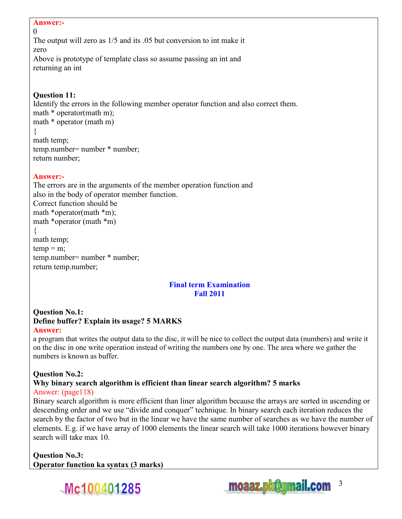#### **Answer:-**   $\Omega$

The output will zero as 1/5 and its .05 but conversion to int make it zero Above is prototype of template class so assume passing an int and returning an int

## **Question 11:**

Identify the errors in the following member operator function and also correct them. math  $*$  operator(math m); math \* operator (math m) { math temp; temp.number= number \* number; return number;

### **Answer:-**

The errors are in the arguments of the member operation function and also in the body of operator member function. Correct function should be math \*operator(math \*m); math \*operator (math \*m) { math temp;  $temp = m$ ; temp.number= number \* number; return temp.number;

#### **Final term Examination Fall 2011**

### **Question No.1: Define buffer? Explain its usage? 5 MARKS Answer:**

a program that writes the output data to the disc, it will be nice to collect the output data (numbers) and write it on the disc in one write operation instead of writing the numbers one by one. The area where we gather the numbers is known as buffer.

## **Question No.2:**

#### **Why binary search algorithm is efficient than linear search algorithm? 5 marks**  Answer: (page118)

Binary search algorithm is more efficient than liner algorithm because the arrays are sorted in ascending or descending order and we use "divide and conquer" technique. In binary search each iteration reduces the search by the factor of two but in the linear we have the same number of searches as we have the number of elements. E.g. if we have array of 1000 elements the linear search will take 1000 iterations however binary search will take max 10.

**Question No.3: Operator function ka syntax (3 marks)** 



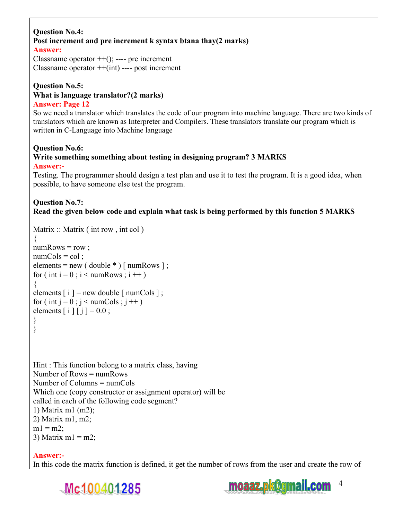#### **Question No.4: Post increment and pre increment k syntax btana thay(2 marks) Answer:**

Classname operator  $++$ (); ---- pre increment Classname operator  $++$ (int) ---- post increment

#### **Question No.5: What is language translator?(2 marks)**

## **Answer: Page 12**

So we need a translator which translates the code of our program into machine language. There are two kinds of translators which are known as Interpreter and Compilers. These translators translate our program which is written in C-Language into Machine language

#### **Question No.6: Write something something about testing in designing program? 3 MARKS Answer:-**

Testing. The programmer should design a test plan and use it to test the program. It is a good idea, when possible, to have someone else test the program.

## **Question No.7: Read the given below code and explain what task is being performed by this function 5 MARKS**

```
Matrix :: Matrix (int row, int col)
{
```

```
numRows = row;
numCols = col;
elements = new ( double * ) [ numRows ];
for ( int i = 0 ; i < numRows ; i +)
{ 
elements [i] = new double [i] numCols ];
for ( int j = 0 ; j < numCols ; j +)
elements [i] [i] = 0.0;
} 
} 
Hint : This function belong to a matrix class, having 
Number of Rows = numRowsNumber of Columns = numCols
Which one (copy constructor or assignment operator) will be 
called in each of the following code segment? 
1) Matrix m1 (m2); 
2) Matrix m1, m2; 
m1 = m2;
3) Matrix ml = m2;
```
## **Answer:-**

In this code the matrix function is defined, it get the number of rows from the user and create the row of



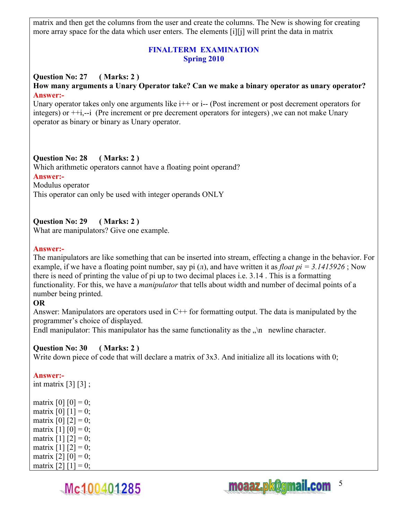matrix and then get the columns from the user and create the columns. The New is showing for creating more array space for the data which user enters. The elements [i][j] will print the data in matrix

### **FINALTERM EXAMINATION Spring 2010**

#### **Question No: 27 ( Marks: 2 ) How many arguments a Unary Operator take? Can we make a binary operator as unary operator? Answer:-**

Unary operator takes only one arguments like  $i++$  or  $i-$  (Post increment or post decrement operators for integers) or ++i,--i (Pre increment or pre decrement operators for integers) ,we can not make Unary operator as binary or binary as Unary operator.

### **Question No: 28 ( Marks: 2 )**

Which arithmetic operators cannot have a floating point operand?

#### **Answer:-**

Modulus operator

This operator can only be used with integer operands ONLY

### **Question No: 29 ( Marks: 2 )**

What are manipulators? Give one example.

#### **Answer:-**

The manipulators are like something that can be inserted into stream, effecting a change in the behavior. For example, if we have a floating point number, say pi (л), and have written it as *float pi = 3.1415926* ; Now there is need of printing the value of pi up to two decimal places i.e. 3.14 . This is a formatting functionality. For this, we have a *manipulator* that tells about width and number of decimal points of a number being printed.

### **OR**

Answer: Manipulators are operators used in C++ for formatting output. The data is manipulated by the programmer's choice of displayed.

Endl manipulator: This manipulator has the same functionality as the  $\eta$ n newline character.

### **Question No: 30 ( Marks: 2 )**

Mc100401285

Write down piece of code that will declare a matrix of 3x3. And initialize all its locations with 0;

### **Answer:-**

int matrix  $[3]$   $[3]$ ;

matrix  $[0] [0] = 0$ ; matrix  $[0] [1] = 0;$ matrix  $[0]$   $[2] = 0$ ; matrix  $[1] [0] = 0$ ; matrix  $[1] [2] = 0;$ matrix  $[1] [2] = 0$ ; matrix  $[2] [0] = 0;$ matrix  $[2] [1] = 0$ ;



5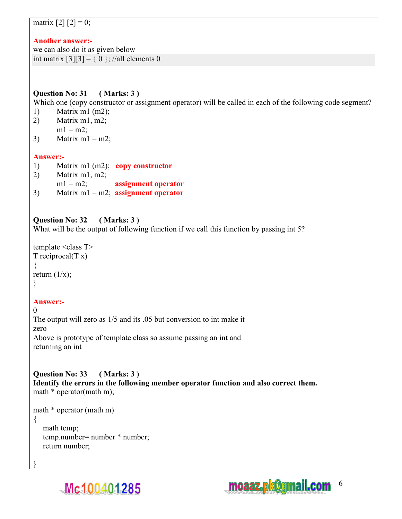## matrix  $[2] [2] = 0;$

## **Another answer:-**

we can also do it as given below int matrix  $[3][3] = \{ 0 \}$ ; //all elements 0

## **Question No: 31 ( Marks: 3 )**

Which one (copy constructor or assignment operator) will be called in each of the following code segment?

- 1) Matrix m1 (m2);
- 2) Matrix m1, m2;  $m1 = m2$ ;
- 3) Matrix  $ml = m2$ ;

## **Answer:-**

- 1) Matrix m1 (m2); **copy constructor**
- 2) Matrix m1, m2;
- m1 = m2; **assignment operator**
- 3) Matrix m1 = m2; **assignment operator**

## **Question No: 32 ( Marks: 3 )**

What will be the output of following function if we call this function by passing int 5?

```
template \leqclass T>T reciprocal(T x){ 
return (1/x);
}
```
## **Answer:-**

 $\Omega$ The output will zero as 1/5 and its .05 but conversion to int make it zero Above is prototype of template class so assume passing an int and returning an int

**Question No: 33 ( Marks: 3 ) Identify the errors in the following member operator function and also correct them.** math  $*$  operator(math m);

```
math * operator (math m)
```
{

}

 math temp; temp.number= number \* number; return number;



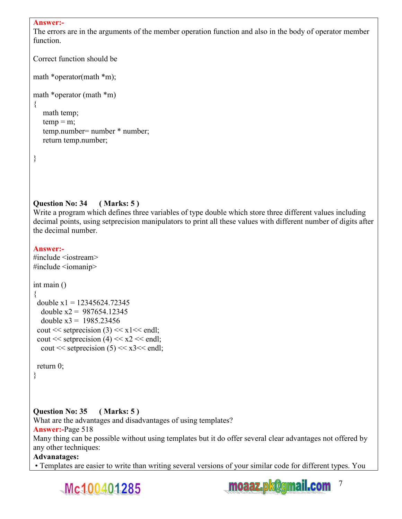#### **Answer:-**

The errors are in the arguments of the member operation function and also in the body of operator member function.

```
Correct function should be 
math *operator(math *m);
math *operator (math *m)
```

```
 math temp; 
temp = m;
 temp.number= number * number; 
 return temp.number;
```
}

{

### **Question No: 34 ( Marks: 5 )**

Write a program which defines three variables of type double which store three different values including decimal points, using setprecision manipulators to print all these values with different number of digits after the decimal number.

#### **Answer:-**

```
#include <iostream> 
#include <iomanip> 
int main () 
{ 
 double x1 = 12345624.72345double x2 = 987654.12345double x3 = 1985.23456cout << setprecision (3) << x1<< endl;
 cout << setprecision (4) << x2 << endl;
  cout << setprecision (5) << x3 << endl;
```

```
 return 0;
```
}

### **Question No: 35 ( Marks: 5 )**

What are the advantages and disadvantages of using templates? **Answer:-**Page 518

Many thing can be possible without using templates but it do offer several clear advantages not offered by any other techniques:

#### **Advanatages:**

• Templates are easier to write than writing several versions of your similar code for different types. You



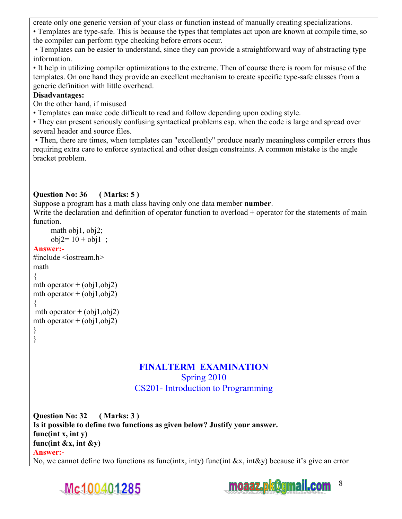create only one generic version of your class or function instead of manually creating specializations.

• Templates are type-safe. This is because the types that templates act upon are known at compile time, so the compiler can perform type checking before errors occur.

 • Templates can be easier to understand, since they can provide a straightforward way of abstracting type information.

• It help in utilizing compiler optimizations to the extreme. Then of course there is room for misuse of the templates. On one hand they provide an excellent mechanism to create specific type-safe classes from a generic definition with little overhead.

## **Disadvantages:**

On the other hand, if misused

• Templates can make code difficult to read and follow depending upon coding style.

• They can present seriously confusing syntactical problems esp. when the code is large and spread over several header and source files.

 • Then, there are times, when templates can "excellently" produce nearly meaningless compiler errors thus requiring extra care to enforce syntactical and other design constraints. A common mistake is the angle bracket problem.

## **Question No: 36 ( Marks: 5 )**

Suppose a program has a math class having only one data member **number**.

Write the declaration and definition of operator function to overload + operator for the statements of main function.

```
 math obj1, obj2; 
      obj2= 10 + obj1;
Answer:- 
\#include \leqiostream h>math 
{ 
mth operator + (obj1, obj2)mth operator + (obj1, obj2){ 
mth operator + (obj1, obj2)mth operator + (obj1, obj2)} 
}
```
## **FINALTERM EXAMINATION**  Spring 2010

CS201- Introduction to Programming

**Question No: 32 ( Marks: 3 ) Is it possible to define two functions as given below? Justify your answer. func(int x, int y) func(int &x, int &y) Answer:-**  No, we cannot define two functions as func(intx, inty) func(int &x, int&y) because it's give an error



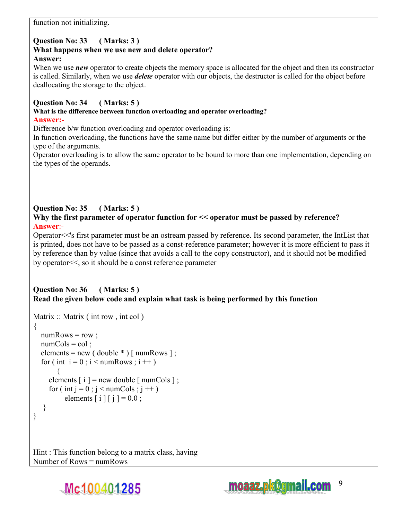function not initializing.

## **Question No: 33 ( Marks: 3 )**

#### **What happens when we use new and delete operator? Answer:**

When we use *new* operator to create objects the memory space is allocated for the object and then its constructor is called. Similarly, when we use *delete* operator with our objects, the destructor is called for the object before deallocating the storage to the object.

## **Question No: 34 ( Marks: 5 )**

**What is the difference between function overloading and operator overloading? Answer:-** 

Difference  $b/w$  function overloading and operator overloading is:

In function overloading, the functions have the same name but differ either by the number of arguments or the type of the arguments.

Operator overloading is to allow the same operator to be bound to more than one implementation, depending on the types of the operands.

## **Question No: 35 ( Marks: 5 )**

**Why the first parameter of operator function for << operator must be passed by reference? Answer**:-

Operator<<'s first parameter must be an ostream passed by reference. Its second parameter, the IntList that is printed, does not have to be passed as a const-reference parameter; however it is more efficient to pass it by reference than by value (since that avoids a call to the copy constructor), and it should not be modified by operator<<, so it should be a const reference parameter

### **Question No: 36 ( Marks: 5 ) Read the given below code and explain what task is being performed by this function**

```
Matrix :: Matrix ( int row, int col)
\left\{ \right.numRows = row;
  numCols = col:
  elements = new ( double * ) [ numRows ];
  for ( int i = 0 ; i < numRows ; i +)
\{elements [i] = new double [i] numCols ];
     for ( int j = 0 ; j < numCols ; j +)
          elements [i] [i] = 0.0;
 } 
} 
Hint : This function belong to a matrix class, having
```
Number of Rows = numRows

Mc100401285

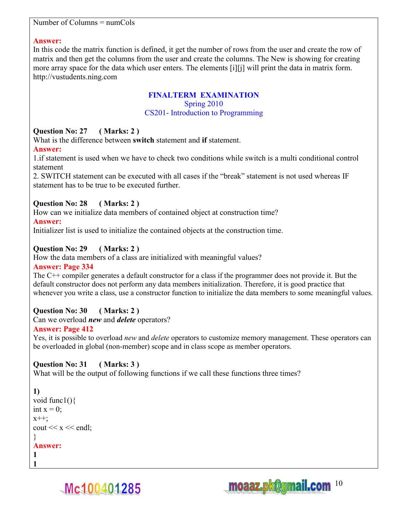#### Number of Columns = numCols

#### **Answer:**

In this code the matrix function is defined, it get the number of rows from the user and create the row of matrix and then get the columns from the user and create the columns. The New is showing for creating more array space for the data which user enters. The elements [i][j] will print the data in matrix form. http://vustudents.ning.com

## **FINALTERM EXAMINATION**

Spring 2010

#### CS201- Introduction to Programming

### **Question No: 27 ( Marks: 2 )**

What is the difference between **switch** statement and **if** statement.

### **Answer:**

1.if statement is used when we have to check two conditions while switch is a multi conditional control statement

2. SWITCH statement can be executed with all cases if the "break" statement is not used whereas IF statement has to be true to be executed further.

### **Question No: 28 ( Marks: 2 )**

How can we initialize data members of contained object at construction time?

### **Answer:**

Initializer list is used to initialize the contained objects at the construction time.

## **Question No: 29 ( Marks: 2 )**

How the data members of a class are initialized with meaningful values?

### **Answer: Page 334**

The C++ compiler generates a default constructor for a class if the programmer does not provide it. But the default constructor does not perform any data members initialization. Therefore, it is good practice that whenever you write a class, use a constructor function to initialize the data members to some meaningful values.

## **Question No: 30 ( Marks: 2 )**

Can we overload *new* and *delete* operators?

### **Answer: Page 412**

Yes, it is possible to overload *new* and *delete* operators to customize memory management. These operators can be overloaded in global (non-member) scope and in class scope as member operators.

### **Question No: 31 ( Marks: 3 )**

What will be the output of following functions if we call these functions three times?

### **1)**

**1** 

```
void func1(){ 
int x = 0;
x^{++};
cout << x << endl;
} 
Answer: 
1
```


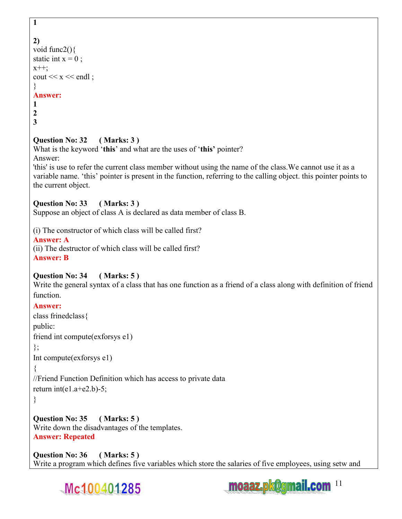```
1
```

```
2) 
void func2(){ 
static int x = 0 ;
x++;
cout << x << endl ;
} 
Answer: 
1 
2 
3
```
## **Question No: 32 ( Marks: 3 )**

What is the keyword '**this**' and what are the uses of '**this'** pointer? Answer:

'this' is use to refer the current class member without using the name of the class.We cannot use it as a variable name. 'this' pointer is present in the function, referring to the calling object. this pointer points to the current object.

## **Question No: 33 ( Marks: 3 )**

Suppose an object of class A is declared as data member of class B.

(i) The constructor of which class will be called first?

## **Answer: A**

(ii) The destructor of which class will be called first? **Answer: B** 

## **Question No: 34 ( Marks: 5 )**

Write the general syntax of a class that has one function as a friend of a class along with definition of friend function.

## **Answer:**

class frinedclass{

public:

friend int compute(exforsys e1)

```
};
```
Int compute(exforsys e1)

{

//Friend Function Definition which has access to private data return int(e1.a+e2.b)-5;

```
}
```
**Question No: 35 ( Marks: 5 )**  Write down the disadvantages of the templates. **Answer: Repeated** 

**Question No: 36 ( Marks: 5 )**  Write a program which defines five variables which store the salaries of five employees, using setw and



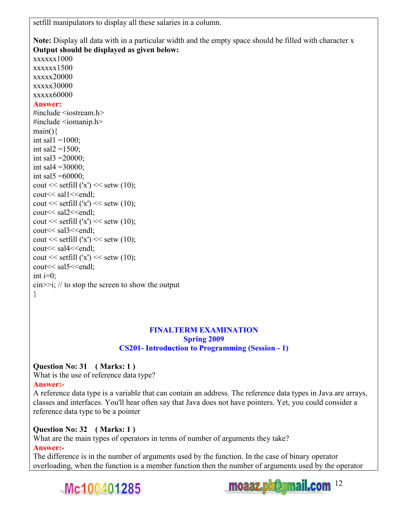setfill manipulators to display all these salaries in a column.

**Note:** Display all data with in a particular width and the empty space should be filled with character x **Output should be displayed as given below:**

xxxxxx1000 xxxxxx1500 xxxxx20000 xxxxx30000 xxxxx60000 **Answer:** #include  $\leq$ iostream h $>$ #include <iomanip.h>  $main()$ int sal $1 = 1000$ ; int sal $2 = 1500$ ; int sal $3 = 20000$ ; int sal $4 = 30000$ ; int sal $5 = 60000$ ; cout  $<<$  setfill  $('x') <<$  setw  $(10)$ ; cout << sal1 << endl; cout  $<<$  setfill  $('x') <<$  setw  $(10);$ cout<< sal2<<endl; cout  $<<$  setfill  $('x') <<$  setw  $(10);$ cout<< sal3<<endl; cout  $<<$  setfill  $('x') <<$  setw  $(10);$ cout << sal4 << endl; cout  $<<$  setfill  $('x') <<$  setw  $(10)$ ; cout<< sal5<<endl; int  $i=0$ :  $\frac{\text{cin}>>\text{i}}{\text{at}}$ ; // to stop the screen to show the output

### **FINALTERM EXAMINATION Spring 2009 CS201- Introduction to Programming (Session - 1)**

## **Question No: 31 ( Marks: 1 )**

What is the use of reference data type?

## **Answer:-**

}

A reference data type is a variable that can contain an address. The reference data types in Java are arrays, classes and interfaces. You'll hear often say that Java does not have pointers. Yet, you could consider a reference data type to be a pointer

## **Question No: 32 ( Marks: 1 )**

What are the main types of operators in terms of number of arguments they take?

## **Answer:-**

The difference is in the number of arguments used by the function. In the case of binary operator overloading, when the function is a member function then the number of arguments used by the operator



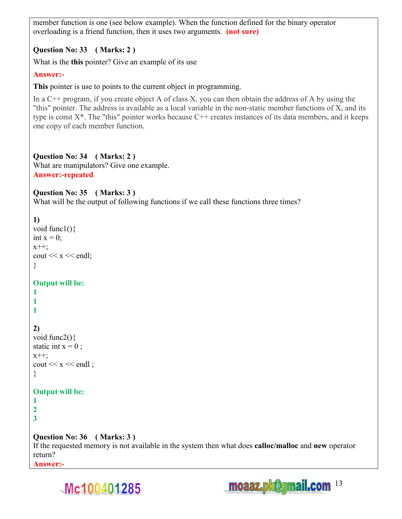member function is one (see below example). When the function defined for the binary operator overloading is a friend function, then it uses two arguments. **(not sure)**

## **Question No: 33 ( Marks: 2 )**

What is the **this** pointer? Give an example of its use

### **Answer:-**

**This** pointer is use to points to the current object in programming.

In a  $C^{++}$  program, if you create object A of class X, you can then obtain the address of A by using the "this" pointer. The address is available as a local variable in the non-static member functions of X, and its type is const  $X^*$ . The "this" pointer works because  $C^{++}$  creates instances of its data members, and it keeps one copy of each member function.

**Question No: 34 ( Marks: 2 )**  What are manipulators? Give one example. **Answer:-repeated** 

## **Question No: 35 ( Marks: 3 )**

What will be the output of following functions if we call these functions three times?

## **1)**

```
void func1(){ 
int x = 0;
x++;
cout << x << endl;
}
```
## **Output will be:**

**1 1 1** 

## **2)**

```
void func2(){ 
static int x = 0;
x++;
cout << x << endl;
}
```
## **Output will be:**

**1 2 3** 

## **Question No: 36 ( Marks: 3 )**

If the requested memory is not available in the system then what does **calloc/malloc** and **new** operator return? **Answer:-** 



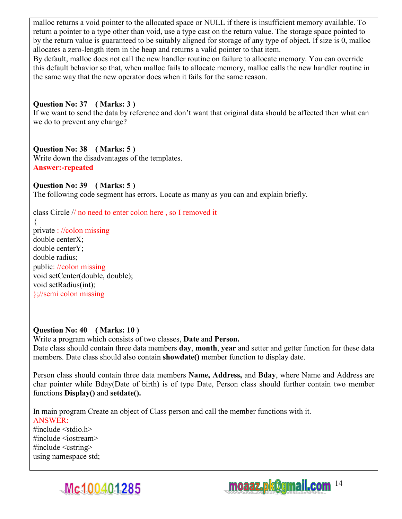malloc returns a void pointer to the allocated space or NULL if there is insufficient memory available. To return a pointer to a type other than void, use a type cast on the return value. The storage space pointed to by the return value is guaranteed to be suitably aligned for storage of any type of object. If size is 0, malloc allocates a zero-length item in the heap and returns a valid pointer to that item.

By default, malloc does not call the new handler routine on failure to allocate memory. You can override this default behavior so that, when malloc fails to allocate memory, malloc calls the new handler routine in the same way that the new operator does when it fails for the same reason.

### **Question No: 37 ( Marks: 3 )**

If we want to send the data by reference and don't want that original data should be affected then what can we do to prevent any change?

### **Question No: 38 ( Marks: 5 )**

Write down the disadvantages of the templates. **Answer:-repeated** 

#### **Question No: 39 ( Marks: 5 )**

The following code segment has errors. Locate as many as you can and explain briefly.

class Circle // no need to enter colon here , so I removed it

{ private : //colon missing double centerX; double centerY; double radius; public: //colon missing void setCenter(double, double); void setRadius(int); };//semi colon missing

## **Question No: 40 ( Marks: 10 )**

Write a program which consists of two classes, **Date** and **Person.**  Date class should contain three data members **day**, **month**, **year** and setter and getter function for these data members. Date class should also contain **showdate()** member function to display date.

Person class should contain three data members **Name, Address,** and **Bday**, where Name and Address are char pointer while Bday(Date of birth) is of type Date, Person class should further contain two member functions **Display()** and **setdate().** 

In main program Create an object of Class person and call the member functions with it. ANSWER:  $\#$ include  $\leq$ stdio h $>$  $\#$ include  $\leq$ iostream $>$ #include <cstring> using namespace std;



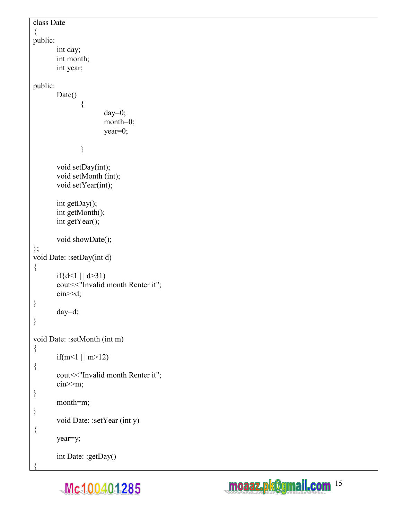```
class Date 
{ 
public: 
        int day; 
        int month; 
        int year; 
public: 
       Date()
\{ day=0; 
                       month=0;
                        year=0; 
 } 
        void setDay(int); 
        void setMonth (int); 
         void setYear(int); 
        int getDay(); 
         int getMonth(); 
        int getYear(); 
        void showDate(); 
}; 
void Date: :setDay(int d)
{ 
       if{d<1 | | d > 31)
        cout<<"Invalid month Renter it"; 
        cin>>d; 
} 
        day=d; 
} 
void Date: :setMonth (int m) 
{ 
       if(m<1 || m>12)
{ 
        cout<<"Invalid month Renter it"; 
        cin>>m; 
} 
       month=m;
} 
       void Date: :setYear (int y)
{ 
        year=y; 
         int Date: :getDay() 
{
```
Mc100401285

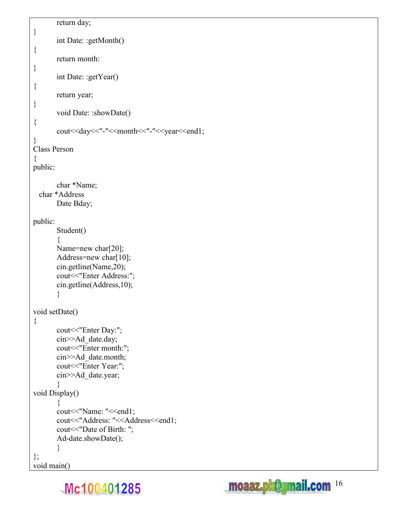```
 return day; 
} 
        int Date: :getMonth() 
{ 
        return month: 
} 
        int Date: :getYear() 
{ 
        return year; 
} 
       void Date: :showDate()
{ 
       cout<<day<<"-"<<month<<"-"<<year<<end1;
} 
Class Person 
{ 
public: 
        char *Name; 
  char *Address 
        Date Bday; 
public: 
        Student() 
\{Name=new char[20];
       Address=new char[10];
        cin.getline(Name,20); 
       cout << "Enter Address:";
        cin.getline(Address,10); 
        } 
void setDate() 
{ 
        cout<<"Enter Day:"; 
       cin>>Ad_date.day;
        cout<<"Enter month:"; 
        cin>>Ad_date.month; 
       cout << "Enter Year:";
        cin>>Ad_date.year; 
        } 
void Display() 
\{cout << "Name: "<< end1;
       cout<<"Address: "<<Address<<end1;
        cout<<"Date of Birth: "; 
        Ad-date.showDate(); 
        } 
};
```


```
void main()
```
Mc100401285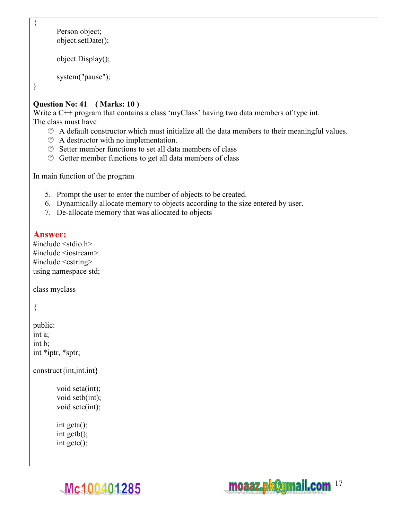```
 Person object; 
 object.setDate(); 
 object.Display();
```

```
 system("pause");
```
}

{

## **Question No: 41 ( Marks: 10 )**

Write a C++ program that contains a class 'myClass' having two data members of type int. The class must have

- $\circled{e}$  A default constructor which must initialize all the data members to their meaningful values.
- $\circled{1}$  A destructor with no implementation.
- $\circled{e}$  Setter member functions to set all data members of class
- $\circled{e}$  Getter member functions to get all data members of class

In main function of the program

- 5. Prompt the user to enter the number of objects to be created.
- 6. Dynamically allocate memory to objects according to the size entered by user.
- 7. De-allocate memory that was allocated to objects

## **Answer:**

 $\#$ include  $\leq$ stdio.h $>$ #include <iostream>  $\#$ include  $\leq$ cstring $\geq$ using namespace std;

class myclass

```
{
```

```
public: 
int a; 
int b; 
int *iptr, *sptr;
```
construct{int,int.int}

```
 void seta(int); 
 void setb(int); 
 void setc(int);
```
 int geta(); int getb(); int getc();